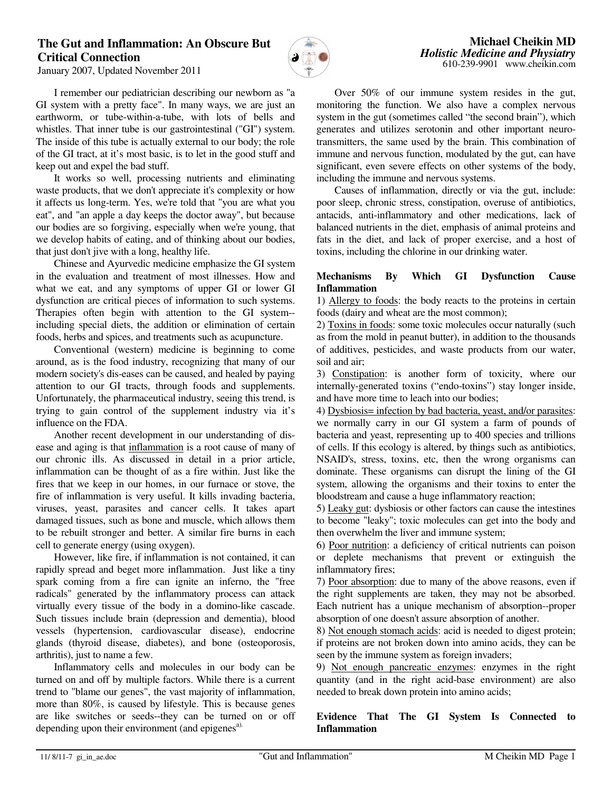## **The Gut and Inflammation: An Obscure But Critical Connection**



January 2007, Updated November 2011

I remember our pediatrician describing our newborn as "a GI system with a pretty face". In many ways, we are just an earthworm, or tube-within-a-tube, with lots of bells and whistles. That inner tube is our gastrointestinal ("GI") system. The inside of this tube is actually external to our body; the role of the GI tract, at it's most basic, is to let in the good stuff and keep out and expel the bad stuff.

 It works so well, processing nutrients and eliminating waste products, that we don't appreciate it's complexity or how it affects us long-term. Yes, we're told that "you are what you eat", and "an apple a day keeps the doctor away", but because our bodies are so forgiving, especially when we're young, that we develop habits of eating, and of thinking about our bodies, that just don't jive with a long, healthy life.

 Chinese and Ayurvedic medicine emphasize the GI system in the evaluation and treatment of most illnesses. How and what we eat, and any symptoms of upper GI or lower GI dysfunction are critical pieces of information to such systems. Therapies often begin with attention to the GI system- including special diets, the addition or elimination of certain foods, herbs and spices, and treatments such as acupuncture.

 Conventional (western) medicine is beginning to come around, as is the food industry, recognizing that many of our modern society's dis-eases can be caused, and healed by paying attention to our GI tracts, through foods and supplements. Unfortunately, the pharmaceutical industry, seeing this trend, is trying to gain control of the supplement industry via it's influence on the FDA.

 Another recent development in our understanding of disease and aging is that inflammation is a root cause of many of our chronic ills. As discussed in detail in a prior article, inflammation can be thought of as a fire within. Just like the fires that we keep in our homes, in our furnace or stove, the fire of inflammation is very useful. It kills invading bacteria, viruses, yeast, parasites and cancer cells. It takes apart damaged tissues, such as bone and muscle, which allows them to be rebuilt stronger and better. A similar fire burns in each cell to generate energy (using oxygen).

 However, like fire, if inflammation is not contained, it can rapidly spread and beget more inflammation. Just like a tiny spark coming from a fire can ignite an inferno, the "free radicals" generated by the inflammatory process can attack virtually every tissue of the body in a domino-like cascade. Such tissues include brain (depression and dementia), blood vessels (hypertension, cardiovascular disease), endocrine glands (thyroid disease, diabetes), and bone (osteoporosis, arthritis), just to name a few.

 Inflammatory cells and molecules in our body can be turned on and off by multiple factors. While there is a current trend to "blame our genes", the vast majority of inflammation, more than 80%, is caused by lifestyle. This is because genes are like switches or seeds--they can be turned on or off depending upon their environment (and epigenes<sup>a).</sup>

 Over 50% of our immune system resides in the gut, monitoring the function. We also have a complex nervous system in the gut (sometimes called "the second brain"), which generates and utilizes serotonin and other important neurotransmitters, the same used by the brain. This combination of immune and nervous function, modulated by the gut, can have significant, even severe effects on other systems of the body, including the immune and nervous systems.

 Causes of inflammation, directly or via the gut, include: poor sleep, chronic stress, constipation, overuse of antibiotics, antacids, anti-inflammatory and other medications, lack of balanced nutrients in the diet, emphasis of animal proteins and fats in the diet, and lack of proper exercise, and a host of toxins, including the chlorine in our drinking water.

#### **Mechanisms By Which GI Dysfunction Cause Inflammation**

1) Allergy to foods: the body reacts to the proteins in certain foods (dairy and wheat are the most common);

2) Toxins in foods: some toxic molecules occur naturally (such as from the mold in peanut butter), in addition to the thousands of additives, pesticides, and waste products from our water, soil and air;

3) Constipation: is another form of toxicity, where our internally-generated toxins ("endo-toxins") stay longer inside, and have more time to leach into our bodies;

4) Dysbiosis= infection by bad bacteria, yeast, and/or parasites: we normally carry in our GI system a farm of pounds of bacteria and yeast, representing up to 400 species and trillions of cells. If this ecology is altered, by things such as antibiotics, NSAID's, stress, toxins, etc, then the wrong organisms can dominate. These organisms can disrupt the lining of the GI system, allowing the organisms and their toxins to enter the bloodstream and cause a huge inflammatory reaction;

5) Leaky gut: dysbiosis or other factors can cause the intestines to become "leaky"; toxic molecules can get into the body and then overwhelm the liver and immune system;

6) Poor nutrition: a deficiency of critical nutrients can poison or deplete mechanisms that prevent or extinguish the inflammatory fires;

7) Poor absorption: due to many of the above reasons, even if the right supplements are taken, they may not be absorbed. Each nutrient has a unique mechanism of absorption--proper absorption of one doesn't assure absorption of another.

8) Not enough stomach acids: acid is needed to digest protein; if proteins are not broken down into amino acids, they can be seen by the immune system as foreign invaders;

9) Not enough pancreatic enzymes: enzymes in the right quantity (and in the right acid-base environment) are also needed to break down protein into amino acids;

**Evidence That The GI System Is Connected to Inflammation**